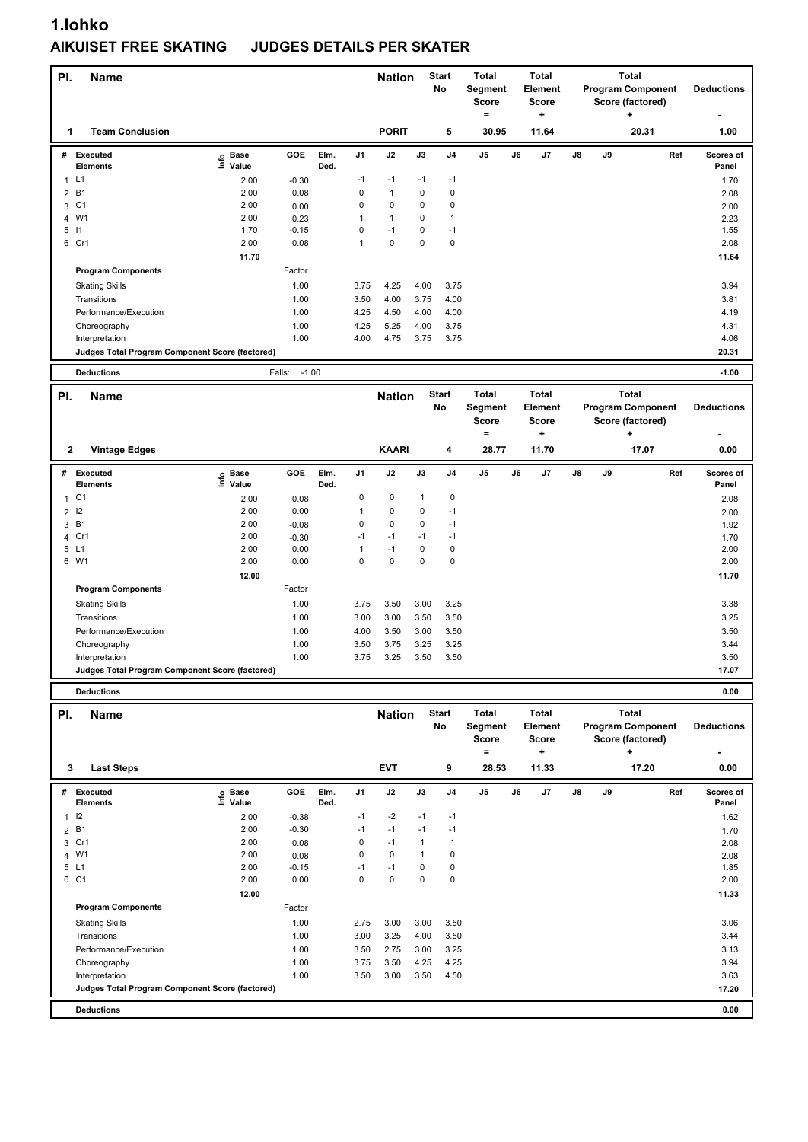## **1.lohko AIKUISET FREE SKATING JUDGES DETAILS PER SKATER**

| PI.            | <b>Name</b>                                                       |                   |                   |      |              | <b>Nation</b> |              | <b>Start</b><br>No | <b>Total</b><br>Segment<br><b>Score</b><br>$\qquad \qquad =$ |    | <b>Total</b><br>Element<br><b>Score</b><br>۰. |    |    | <b>Total</b><br><b>Program Component</b><br>Score (factored)<br>٠ |     | <b>Deductions</b> |
|----------------|-------------------------------------------------------------------|-------------------|-------------------|------|--------------|---------------|--------------|--------------------|--------------------------------------------------------------|----|-----------------------------------------------|----|----|-------------------------------------------------------------------|-----|-------------------|
| 1              | <b>Team Conclusion</b>                                            |                   |                   |      |              | <b>PORIT</b>  |              | 5                  | 30.95                                                        |    | 11.64                                         |    |    | 20.31                                                             |     | 1.00              |
| #              | <b>Executed</b>                                                   | e Base<br>⊑ Value | <b>GOE</b>        | Elm. | J1           | J2            | J3           | J <sub>4</sub>     | J5                                                           | J6 | J7                                            | J8 | J9 |                                                                   | Ref | Scores of         |
| 1 L1           | <b>Elements</b>                                                   | 2.00              | $-0.30$           | Ded. | $-1$         | $-1$          | $-1$         | $-1$               |                                                              |    |                                               |    |    |                                                                   |     | Panel<br>1.70     |
| 2 B1           |                                                                   | 2.00              | 0.08              |      | $\mathbf 0$  | $\mathbf{1}$  | $\mathbf 0$  | 0                  |                                                              |    |                                               |    |    |                                                                   |     | 2.08              |
| 3 C1           |                                                                   | 2.00              | 0.00              |      | 0            | $\pmb{0}$     | $\mathbf 0$  | 0                  |                                                              |    |                                               |    |    |                                                                   |     | 2.00              |
| 4 W1           |                                                                   | 2.00              | 0.23              |      | $\mathbf{1}$ | $\mathbf{1}$  | $\mathbf 0$  | $\mathbf{1}$       |                                                              |    |                                               |    |    |                                                                   |     | 2.23              |
| $5$ $11$       |                                                                   | 1.70              | $-0.15$           |      | $\mathbf 0$  | $-1$          | 0            | $-1$               |                                                              |    |                                               |    |    |                                                                   |     | 1.55              |
| 6 Cr1          |                                                                   | 2.00              | 0.08              |      | $\mathbf{1}$ | $\pmb{0}$     | $\mathbf 0$  | $\mathbf 0$        |                                                              |    |                                               |    |    |                                                                   |     | 2.08              |
|                |                                                                   | 11.70             |                   |      |              |               |              |                    |                                                              |    |                                               |    |    |                                                                   |     | 11.64             |
|                | <b>Program Components</b>                                         |                   | Factor            |      |              |               |              |                    |                                                              |    |                                               |    |    |                                                                   |     |                   |
|                | <b>Skating Skills</b>                                             |                   | 1.00              |      | 3.75         | 4.25          | 4.00         | 3.75               |                                                              |    |                                               |    |    |                                                                   |     | 3.94              |
|                | Transitions                                                       |                   | 1.00              |      | 3.50         | 4.00          | 3.75         | 4.00               |                                                              |    |                                               |    |    |                                                                   |     | 3.81              |
|                | Performance/Execution                                             |                   | 1.00              |      | 4.25         | 4.50          | 4.00         | 4.00               |                                                              |    |                                               |    |    |                                                                   |     | 4.19              |
|                | Choreography                                                      |                   | 1.00              |      | 4.25         | 5.25          | 4.00         | 3.75               |                                                              |    |                                               |    |    |                                                                   |     | 4.31              |
|                | Interpretation                                                    |                   | 1.00              |      | 4.00         | 4.75          | 3.75         | 3.75               |                                                              |    |                                               |    |    |                                                                   |     | 4.06              |
|                | Judges Total Program Component Score (factored)                   |                   |                   |      |              |               |              |                    |                                                              |    |                                               |    |    |                                                                   |     | 20.31             |
|                | <b>Deductions</b>                                                 |                   | Falls:<br>$-1.00$ |      |              |               |              |                    |                                                              |    |                                               |    |    |                                                                   |     | $-1.00$           |
| PI.            |                                                                   |                   |                   |      |              |               |              |                    |                                                              |    |                                               |    |    | <b>Total</b>                                                      |     |                   |
|                |                                                                   |                   |                   |      |              |               |              | <b>Start</b>       | <b>Total</b>                                                 |    | <b>Total</b>                                  |    |    |                                                                   |     |                   |
|                | <b>Name</b>                                                       |                   |                   |      |              | <b>Nation</b> |              | <b>No</b>          | Segment                                                      |    | <b>Element</b>                                |    |    | <b>Program Component</b>                                          |     | <b>Deductions</b> |
|                |                                                                   |                   |                   |      |              |               |              |                    | <b>Score</b>                                                 |    | <b>Score</b>                                  |    |    | Score (factored)                                                  |     |                   |
|                |                                                                   |                   |                   |      |              |               |              |                    | $\qquad \qquad =$                                            |    | ۰.                                            |    |    | $\ddot{}$                                                         |     |                   |
| $\mathbf{2}$   | <b>Vintage Edges</b>                                              |                   |                   |      |              | <b>KAARI</b>  |              | 4                  | 28.77                                                        |    | 11.70                                         |    |    | 17.07                                                             |     | 0.00              |
| #              | <b>Executed</b>                                                   |                   | GOE               | Elm. | J1           | J2            | J3           | J <sub>4</sub>     | J5                                                           | J6 | J7                                            | J8 | J9 |                                                                   | Ref | Scores of         |
|                | <b>Elements</b>                                                   | e Base<br>⊑ Value |                   | Ded. |              |               |              |                    |                                                              |    |                                               |    |    |                                                                   |     | Panel             |
| 1 C1           |                                                                   | 2.00              | 0.08              |      | 0            | $\pmb{0}$     | $\mathbf{1}$ | 0                  |                                                              |    |                                               |    |    |                                                                   |     | 2.08              |
| $\overline{2}$ | 12                                                                | 2.00              | 0.00              |      | $\mathbf{1}$ | $\mathbf 0$   | $\mathbf 0$  | $-1$               |                                                              |    |                                               |    |    |                                                                   |     | 2.00              |
| 3              | <b>B1</b>                                                         | 2.00              | $-0.08$           |      | $\mathbf 0$  | $\mathbf 0$   | $\mathbf 0$  | $-1$               |                                                              |    |                                               |    |    |                                                                   |     | 1.92              |
| 4 Cr1          |                                                                   | 2.00              | $-0.30$           |      | $-1$         | $-1$          | $-1$         | $-1$               |                                                              |    |                                               |    |    |                                                                   |     | 1.70              |
| 5 L1           |                                                                   | 2.00              | 0.00              |      | $\mathbf{1}$ | $-1$          | $\mathbf 0$  | $\pmb{0}$          |                                                              |    |                                               |    |    |                                                                   |     | 2.00              |
| 6 W1           |                                                                   | 2.00              | 0.00              |      | $\mathbf 0$  | $\mathbf 0$   | $\mathbf 0$  | 0                  |                                                              |    |                                               |    |    |                                                                   |     | 2.00              |
|                |                                                                   | 12.00             |                   |      |              |               |              |                    |                                                              |    |                                               |    |    |                                                                   |     | 11.70             |
|                | <b>Program Components</b>                                         |                   | Factor            |      |              |               |              |                    |                                                              |    |                                               |    |    |                                                                   |     |                   |
|                | <b>Skating Skills</b>                                             |                   | 1.00              |      | 3.75         | 3.50          | 3.00         | 3.25               |                                                              |    |                                               |    |    |                                                                   |     | 3.38              |
|                | Transitions                                                       |                   | 1.00              |      | 3.00         | 3.00          | 3.50         | 3.50               |                                                              |    |                                               |    |    |                                                                   |     | 3.25              |
|                | Performance/Execution                                             |                   | 1.00              |      | 4.00         | 3.50          | 3.00         | 3.50               |                                                              |    |                                               |    |    |                                                                   |     | 3.50              |
|                | Choreography                                                      |                   | 1.00              |      | 3.50         | 3.75          | 3.25         | 3.25               |                                                              |    |                                               |    |    |                                                                   |     | 3.44              |
|                | Interpretation<br>Judges Total Program Component Score (factored) |                   | 1.00              |      | 3.75         | 3.25          | 3.50         | 3.50               |                                                              |    |                                               |    |    |                                                                   |     | 3.50<br>17.07     |
|                | <b>Deductions</b>                                                 |                   |                   |      |              |               |              |                    |                                                              |    |                                               |    |    |                                                                   |     | 0.00              |
| PI.            | <b>Name</b>                                                       |                   |                   |      |              | <b>Nation</b> |              | <b>Start</b>       | <b>Total</b>                                                 |    | Total                                         |    |    | <b>Total</b>                                                      |     |                   |

| PI.<br>3 | Name<br><b>Last Steps</b>                       |                            |         |              |                | <b>Nation</b><br><b>EVT</b> |             | start<br><b>No</b><br>9 | тотаг<br>Segment<br>Score<br>٠<br>28.53 | <b>Total</b><br>Element<br><b>Score</b><br>÷<br>11.33 |    |    | i otal<br><b>Program Component</b><br>Score (factored)<br>٠<br>17.20 | <b>Deductions</b><br>0.00 |
|----------|-------------------------------------------------|----------------------------|---------|--------------|----------------|-----------------------------|-------------|-------------------------|-----------------------------------------|-------------------------------------------------------|----|----|----------------------------------------------------------------------|---------------------------|
| #        | <b>Executed</b><br><b>Elements</b>              | e Base<br>⊆ Value<br>Value | GOE     | Elm.<br>Ded. | J <sub>1</sub> | J2                          | J3          | J <sub>4</sub>          | J <sub>5</sub>                          | J6<br>J <sub>7</sub>                                  | J8 | J9 | Ref                                                                  | <b>Scores of</b><br>Panel |
|          | 1 <sup>12</sup>                                 | 2.00                       | $-0.38$ |              | $-1$           | $-2$                        | $-1$        | $-1$                    |                                         |                                                       |    |    |                                                                      | 1.62                      |
|          | 2 B1                                            | 2.00                       | $-0.30$ |              | $-1$           | $-1$                        | $-1$        | $-1$                    |                                         |                                                       |    |    |                                                                      | 1.70                      |
|          | 3 Cr1                                           | 2.00                       | 0.08    |              | 0              | $-1$                        | 1           | 1                       |                                         |                                                       |    |    |                                                                      | 2.08                      |
|          | 4 W1                                            | 2.00                       | 0.08    |              | 0              | $\mathbf 0$                 | $\mathbf 1$ | 0                       |                                         |                                                       |    |    |                                                                      | 2.08                      |
|          | 5 L1                                            | 2.00                       | $-0.15$ |              | $-1$           | $-1$                        | 0           | 0                       |                                         |                                                       |    |    |                                                                      | 1.85                      |
|          | 6 C1                                            | 2.00                       | 0.00    |              | 0              | $\mathbf 0$                 | 0           | 0                       |                                         |                                                       |    |    |                                                                      | 2.00                      |
|          |                                                 | 12.00                      |         |              |                |                             |             |                         |                                         |                                                       |    |    |                                                                      | 11.33                     |
|          | <b>Program Components</b>                       |                            | Factor  |              |                |                             |             |                         |                                         |                                                       |    |    |                                                                      |                           |
|          | <b>Skating Skills</b>                           |                            | 1.00    |              | 2.75           | 3.00                        | 3.00        | 3.50                    |                                         |                                                       |    |    |                                                                      | 3.06                      |
|          | Transitions                                     |                            | 1.00    |              | 3.00           | 3.25                        | 4.00        | 3.50                    |                                         |                                                       |    |    |                                                                      | 3.44                      |
|          | Performance/Execution                           |                            | 1.00    |              | 3.50           | 2.75                        | 3.00        | 3.25                    |                                         |                                                       |    |    |                                                                      | 3.13                      |
|          | Choreography                                    |                            | 1.00    |              | 3.75           | 3.50                        | 4.25        | 4.25                    |                                         |                                                       |    |    |                                                                      | 3.94                      |
|          | Interpretation                                  |                            | 1.00    |              | 3.50           | 3.00                        | 3.50        | 4.50                    |                                         |                                                       |    |    |                                                                      | 3.63                      |
|          | Judges Total Program Component Score (factored) |                            |         |              |                |                             |             |                         |                                         |                                                       |    |    |                                                                      | 17.20                     |
|          | <b>Deductions</b>                               |                            |         |              |                |                             |             |                         |                                         |                                                       |    |    |                                                                      | 0.00                      |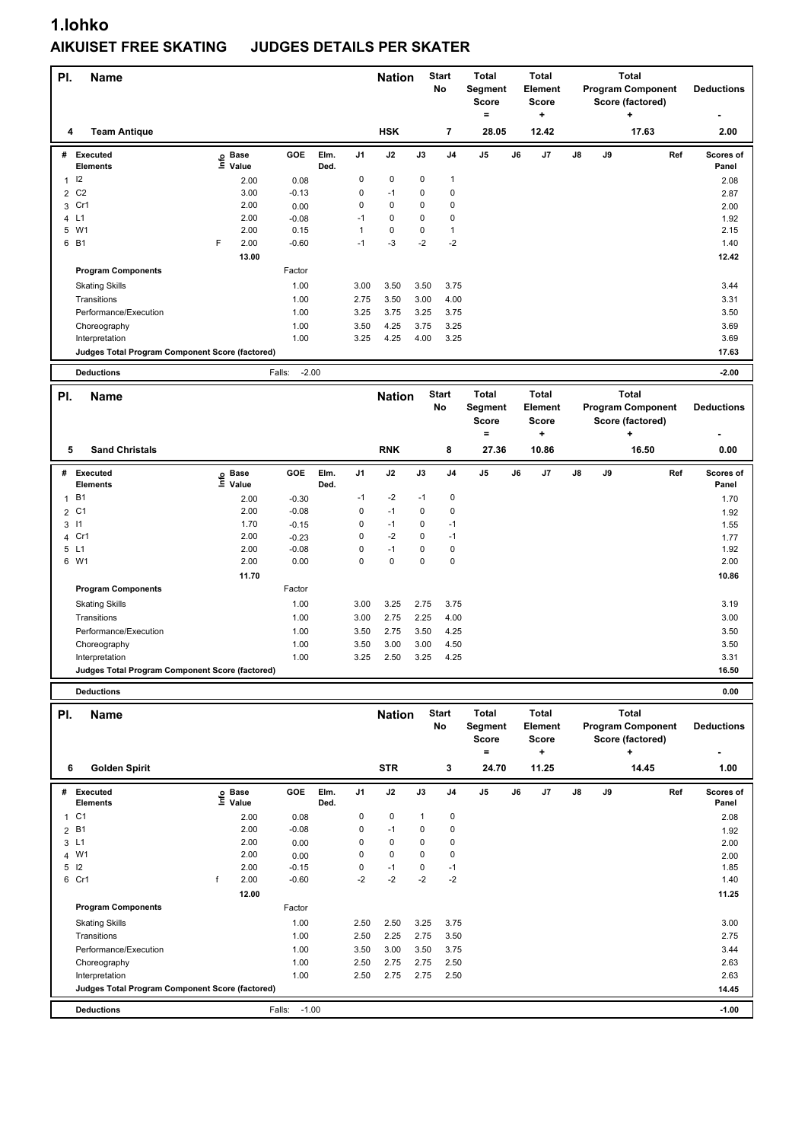## **1.lohko AIKUISET FREE SKATING JUDGES DETAILS PER SKATER**

| PI.            | <b>Name</b>                                                          |                   |                   |              |                | <b>Nation</b> |        | <b>Start</b><br>No | Total<br>Segment                 | <b>Total</b><br>Element   |    |    | <b>Total</b><br><b>Program Component</b>              |     | <b>Deductions</b>  |
|----------------|----------------------------------------------------------------------|-------------------|-------------------|--------------|----------------|---------------|--------|--------------------|----------------------------------|---------------------------|----|----|-------------------------------------------------------|-----|--------------------|
|                |                                                                      |                   |                   |              |                |               |        |                    | <b>Score</b>                     | Score                     |    |    | Score (factored)                                      |     |                    |
| 4              | <b>Team Antique</b>                                                  |                   |                   |              |                | <b>HSK</b>    |        | 7                  | $=$<br>28.05                     | ۰.<br>12.42               |    |    | ٠<br>17.63                                            |     | 2.00               |
| #              | <b>Executed</b><br>Elements                                          | e Base<br>E Value | GOE               | Elm.<br>Ded. | J <sub>1</sub> | J2            | J3     | J <sub>4</sub>     | J5                               | J6<br>J7                  | J8 | J9 |                                                       | Ref | Scores of<br>Panel |
| 1              | 12                                                                   | 2.00              | 0.08              |              | 0              | 0             | 0      | 1                  |                                  |                           |    |    |                                                       |     | 2.08               |
| $\overline{2}$ | C <sub>2</sub>                                                       | 3.00              | $-0.13$           |              | 0              | $-1$          | 0      | $\pmb{0}$          |                                  |                           |    |    |                                                       |     | 2.87               |
| 3              | Cr1                                                                  | 2.00              | 0.00              |              | 0              | 0             | 0      | 0                  |                                  |                           |    |    |                                                       |     | 2.00               |
|                | 4 L1                                                                 | 2.00              | $-0.08$           |              | $-1$           | 0             | 0      | 0                  |                                  |                           |    |    |                                                       |     | 1.92               |
| 5              | W1                                                                   | 2.00              | 0.15              |              | $\mathbf{1}$   | 0             | 0      | 1                  |                                  |                           |    |    |                                                       |     | 2.15               |
|                | 6 B1                                                                 | F<br>2.00         | $-0.60$           |              | $-1$           | $-3$          | $-2$   | $-2$               |                                  |                           |    |    |                                                       |     | 1.40               |
|                |                                                                      | 13.00             |                   |              |                |               |        |                    |                                  |                           |    |    |                                                       |     | 12.42              |
|                | <b>Program Components</b>                                            |                   | Factor            |              |                |               |        |                    |                                  |                           |    |    |                                                       |     |                    |
|                | <b>Skating Skills</b>                                                |                   | 1.00              |              | 3.00           | 3.50          | 3.50   | 3.75               |                                  |                           |    |    |                                                       |     | 3.44               |
|                | Transitions                                                          |                   | 1.00              |              | 2.75           | 3.50          | 3.00   | 4.00               |                                  |                           |    |    |                                                       |     | 3.31               |
|                | Performance/Execution                                                |                   | 1.00              |              | 3.25           | 3.75          | 3.25   | 3.75               |                                  |                           |    |    |                                                       |     | 3.50               |
|                | Choreography                                                         |                   | 1.00              |              | 3.50           | 4.25          | 3.75   | 3.25               |                                  |                           |    |    |                                                       |     | 3.69               |
|                | Interpretation                                                       |                   | 1.00              |              | 3.25           | 4.25          | 4.00   | 3.25               |                                  |                           |    |    |                                                       |     | 3.69               |
|                | Judges Total Program Component Score (factored)                      |                   |                   |              |                |               |        |                    |                                  |                           |    |    |                                                       |     | 17.63              |
|                | <b>Deductions</b>                                                    |                   | $-2.00$<br>Falls: |              |                |               |        |                    |                                  |                           |    |    |                                                       |     | $-2.00$            |
| PI.            | <b>Name</b>                                                          |                   |                   |              |                | <b>Nation</b> |        | <b>Start</b>       | <b>Total</b>                     | <b>Total</b>              |    |    | <b>Total</b>                                          |     |                    |
|                |                                                                      |                   |                   |              |                |               |        | No                 | Segment                          | <b>Element</b>            |    |    | <b>Program Component</b>                              |     | <b>Deductions</b>  |
|                |                                                                      |                   |                   |              |                |               |        |                    | <b>Score</b>                     | <b>Score</b>              |    |    | Score (factored)                                      |     |                    |
|                |                                                                      |                   |                   |              |                |               |        |                    | $=$                              | +                         |    |    | +                                                     |     |                    |
| 5              | <b>Sand Christals</b>                                                |                   |                   |              |                | <b>RNK</b>    |        | 8                  | 27.36                            | 10.86                     |    |    | 16.50                                                 |     | 0.00               |
|                | # Executed<br><b>Elements</b>                                        | e Base<br>⊑ Value | <b>GOE</b>        | Elm.<br>Ded. | J1             | J2            | J3     | J4                 | J5                               | J6<br>J7                  | J8 | J9 |                                                       | Ref | Scores of<br>Panel |
| 1              | <b>B1</b>                                                            | 2.00              | $-0.30$           |              | $-1$           | $-2$          | $-1$   | 0                  |                                  |                           |    |    |                                                       |     |                    |
|                | 2 C1                                                                 |                   |                   |              |                |               |        |                    |                                  |                           |    |    |                                                       |     | 1.70               |
| 3              |                                                                      |                   |                   |              |                |               |        |                    |                                  |                           |    |    |                                                       |     |                    |
|                |                                                                      | 2.00              | $-0.08$           |              | 0              | $-1$          | 0      | $\pmb{0}$          |                                  |                           |    |    |                                                       |     | 1.92               |
|                | $\overline{11}$                                                      | 1.70              | $-0.15$           |              | 0              | $-1$          | 0      | $-1$               |                                  |                           |    |    |                                                       |     | 1.55               |
|                | 4 Cr1                                                                | 2.00              | $-0.23$           |              | 0              | $-2$          | 0      | $-1$               |                                  |                           |    |    |                                                       |     | 1.77               |
|                | 5 L1                                                                 | 2.00              | $-0.08$           |              | 0<br>$\Omega$  | $-1$<br>0     | 0<br>0 | 0<br>0             |                                  |                           |    |    |                                                       |     | 1.92               |
|                | 6 W1                                                                 | 2.00              | 0.00              |              |                |               |        |                    |                                  |                           |    |    |                                                       |     | 2.00               |
|                |                                                                      | 11.70             |                   |              |                |               |        |                    |                                  |                           |    |    |                                                       |     | 10.86              |
|                | <b>Program Components</b>                                            |                   | Factor            |              |                |               |        |                    |                                  |                           |    |    |                                                       |     |                    |
|                | <b>Skating Skills</b>                                                |                   | 1.00              |              | 3.00           | 3.25          | 2.75   | 3.75               |                                  |                           |    |    |                                                       |     | 3.19               |
|                | Transitions                                                          |                   | 1.00              |              | 3.00           | 2.75          | 2.25   | 4.00               |                                  |                           |    |    |                                                       |     | 3.00               |
|                | Performance/Execution                                                |                   | 1.00              |              | 3.50           | 2.75          | 3.50   | 4.25               |                                  |                           |    |    |                                                       |     | 3.50               |
|                | Choreography                                                         |                   | 1.00              |              | 3.50           | 3.00          | 3.00   | 4.50               |                                  |                           |    |    |                                                       |     | 3.50               |
|                | Interpretation                                                       |                   | 1.00              |              | 3.25           | 2.50          | 3.25   | 4.25               |                                  |                           |    |    |                                                       |     | 3.31               |
|                | Judges Total Program Component Score (factored)<br><b>Deductions</b> |                   |                   |              |                |               |        |                    |                                  |                           |    |    |                                                       |     | 16.50              |
|                |                                                                      |                   |                   |              |                |               |        |                    |                                  |                           |    |    |                                                       |     | 0.00               |
| PI.            | Name                                                                 |                   |                   |              |                | <b>Nation</b> |        | <b>Start</b><br>No | <b>Total</b><br>Segment<br>Score | Total<br>Element<br>Score |    |    | Total<br><b>Program Component</b><br>Score (factored) |     | <b>Deductions</b>  |
|                |                                                                      |                   |                   |              |                |               |        |                    | $=$                              | $\pmb{+}$                 |    |    | $\ddot{}$                                             |     |                    |
| 6              | <b>Golden Spirit</b>                                                 |                   |                   |              |                | <b>STR</b>    |        | 3                  | 24.70                            | 11.25                     |    |    | 14.45                                                 |     | 1.00               |

| # | Executed<br><b>Elements</b>                     | ۴ů | <b>Base</b><br>Value | uur               | EIM.<br>Ded. | J1.  | JZ   | JJ   | J4   | Jɔ | Jb | J | Jö | JУ | кет | <b>SCOLES</b> OF<br>Panel |
|---|-------------------------------------------------|----|----------------------|-------------------|--------------|------|------|------|------|----|----|---|----|----|-----|---------------------------|
|   | 1 C1                                            |    | 2.00                 | 0.08              |              | 0    | 0    |      | 0    |    |    |   |    |    |     | 2.08                      |
|   | 2 B1                                            |    | 2.00                 | $-0.08$           |              | 0    | $-1$ | 0    | 0    |    |    |   |    |    |     | 1.92                      |
|   | 3L1                                             |    | 2.00                 | 0.00              |              | 0    | 0    | 0    | 0    |    |    |   |    |    |     | 2.00                      |
|   | 4 W1                                            |    | 2.00                 | 0.00              |              | 0    | 0    | 0    | 0    |    |    |   |    |    |     | 2.00                      |
|   | $5 \quad 12$                                    |    | 2.00                 | $-0.15$           |              | 0    | $-1$ | 0    | $-1$ |    |    |   |    |    |     | 1.85                      |
|   | 6 Cr1                                           |    | 2.00                 | $-0.60$           |              | $-2$ | $-2$ | $-2$ | $-2$ |    |    |   |    |    |     | 1.40                      |
|   |                                                 |    | 12.00                |                   |              |      |      |      |      |    |    |   |    |    |     | 11.25                     |
|   | <b>Program Components</b>                       |    |                      | Factor            |              |      |      |      |      |    |    |   |    |    |     |                           |
|   | <b>Skating Skills</b>                           |    |                      | 1.00              |              | 2.50 | 2.50 | 3.25 | 3.75 |    |    |   |    |    |     | 3.00                      |
|   | Transitions                                     |    |                      | 1.00              |              | 2.50 | 2.25 | 2.75 | 3.50 |    |    |   |    |    |     | 2.75                      |
|   | Performance/Execution                           |    |                      | 1.00              |              | 3.50 | 3.00 | 3.50 | 3.75 |    |    |   |    |    |     | 3.44                      |
|   | Choreography                                    |    |                      | 1.00              |              | 2.50 | 2.75 | 2.75 | 2.50 |    |    |   |    |    |     | 2.63                      |
|   | Interpretation                                  |    |                      | 1.00              |              | 2.50 | 2.75 | 2.75 | 2.50 |    |    |   |    |    |     | 2.63                      |
|   | Judges Total Program Component Score (factored) |    |                      |                   |              |      |      |      |      |    |    |   |    |    |     | 14.45                     |
|   | <b>Deductions</b>                               |    |                      | $-1.00$<br>Falls: |              |      |      |      |      |    |    |   |    |    |     | $-1.00$                   |